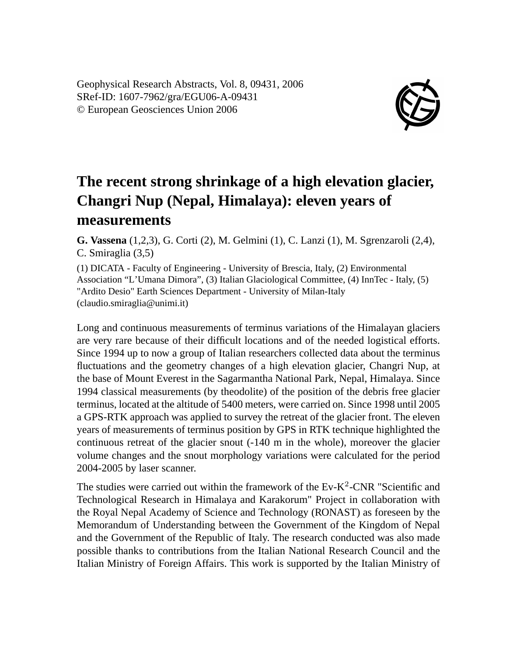Geophysical Research Abstracts, Vol. 8, 09431, 2006 SRef-ID: 1607-7962/gra/EGU06-A-09431 © European Geosciences Union 2006



## **The recent strong shrinkage of a high elevation glacier, Changri Nup (Nepal, Himalaya): eleven years of measurements**

**G. Vassena** (1,2,3), G. Corti (2), M. Gelmini (1), C. Lanzi (1), M. Sgrenzaroli (2,4), C. Smiraglia (3,5)

(1) DICATA - Faculty of Engineering - University of Brescia, Italy, (2) Environmental Association "L'Umana Dimora", (3) Italian Glaciological Committee, (4) InnTec - Italy, (5) "Ardito Desio" Earth Sciences Department - University of Milan-Italy (claudio.smiraglia@unimi.it)

Long and continuous measurements of terminus variations of the Himalayan glaciers are very rare because of their difficult locations and of the needed logistical efforts. Since 1994 up to now a group of Italian researchers collected data about the terminus fluctuations and the geometry changes of a high elevation glacier, Changri Nup, at the base of Mount Everest in the Sagarmantha National Park, Nepal, Himalaya. Since 1994 classical measurements (by theodolite) of the position of the debris free glacier terminus, located at the altitude of 5400 meters, were carried on. Since 1998 until 2005 a GPS-RTK approach was applied to survey the retreat of the glacier front. The eleven years of measurements of terminus position by GPS in RTK technique highlighted the continuous retreat of the glacier snout (-140 m in the whole), moreover the glacier volume changes and the snout morphology variations were calculated for the period 2004-2005 by laser scanner.

The studies were carried out within the framework of the  $Ev-K^2$ -CNR "Scientific and Technological Research in Himalaya and Karakorum" Project in collaboration with the Royal Nepal Academy of Science and Technology (RONAST) as foreseen by the Memorandum of Understanding between the Government of the Kingdom of Nepal and the Government of the Republic of Italy. The research conducted was also made possible thanks to contributions from the Italian National Research Council and the Italian Ministry of Foreign Affairs. This work is supported by the Italian Ministry of